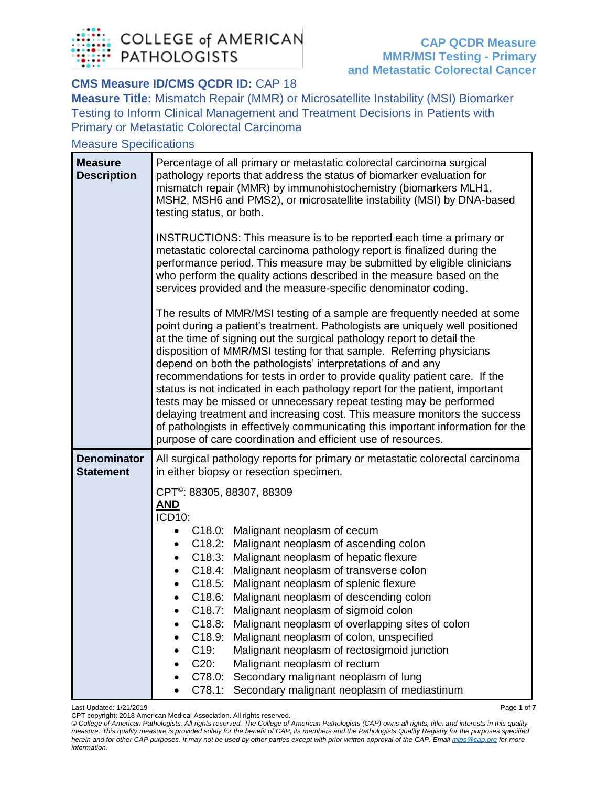

## **CMS Measure ID/CMS QCDR ID: CAP 18**

**Measure Title:** Mismatch Repair (MMR) or Microsatellite Instability (MSI) Biomarker Testing to Inform Clinical Management and Treatment Decisions in Patients with Primary or Metastatic Colorectal Carcinoma

## Measure Specifications

| <b>Measure</b><br><b>Description</b>   | Percentage of all primary or metastatic colorectal carcinoma surgical<br>pathology reports that address the status of biomarker evaluation for<br>mismatch repair (MMR) by immunohistochemistry (biomarkers MLH1,<br>MSH2, MSH6 and PMS2), or microsatellite instability (MSI) by DNA-based<br>testing status, or both.                                                                                                                                                                                                                                                                                                                                                                                                                                                                                                                       |
|----------------------------------------|-----------------------------------------------------------------------------------------------------------------------------------------------------------------------------------------------------------------------------------------------------------------------------------------------------------------------------------------------------------------------------------------------------------------------------------------------------------------------------------------------------------------------------------------------------------------------------------------------------------------------------------------------------------------------------------------------------------------------------------------------------------------------------------------------------------------------------------------------|
|                                        | INSTRUCTIONS: This measure is to be reported each time a primary or<br>metastatic colorectal carcinoma pathology report is finalized during the<br>performance period. This measure may be submitted by eligible clinicians<br>who perform the quality actions described in the measure based on the<br>services provided and the measure-specific denominator coding.                                                                                                                                                                                                                                                                                                                                                                                                                                                                        |
|                                        | The results of MMR/MSI testing of a sample are frequently needed at some<br>point during a patient's treatment. Pathologists are uniquely well positioned<br>at the time of signing out the surgical pathology report to detail the<br>disposition of MMR/MSI testing for that sample. Referring physicians<br>depend on both the pathologists' interpretations of and any<br>recommendations for tests in order to provide quality patient care. If the<br>status is not indicated in each pathology report for the patient, important<br>tests may be missed or unnecessary repeat testing may be performed<br>delaying treatment and increasing cost. This measure monitors the success<br>of pathologists in effectively communicating this important information for the<br>purpose of care coordination and efficient use of resources. |
| <b>Denominator</b><br><b>Statement</b> | All surgical pathology reports for primary or metastatic colorectal carcinoma<br>in either biopsy or resection specimen.                                                                                                                                                                                                                                                                                                                                                                                                                                                                                                                                                                                                                                                                                                                      |
|                                        | CPT <sup>®</sup> : 88305, 88307, 88309                                                                                                                                                                                                                                                                                                                                                                                                                                                                                                                                                                                                                                                                                                                                                                                                        |
|                                        | <b>AND</b><br><b>ICD10:</b>                                                                                                                                                                                                                                                                                                                                                                                                                                                                                                                                                                                                                                                                                                                                                                                                                   |
|                                        | C18.0: Malignant neoplasm of cecum<br>$\bullet$                                                                                                                                                                                                                                                                                                                                                                                                                                                                                                                                                                                                                                                                                                                                                                                               |
|                                        | C18.2: Malignant neoplasm of ascending colon<br>$\bullet$                                                                                                                                                                                                                                                                                                                                                                                                                                                                                                                                                                                                                                                                                                                                                                                     |
|                                        | C18.3: Malignant neoplasm of hepatic flexure<br>$\bullet$                                                                                                                                                                                                                                                                                                                                                                                                                                                                                                                                                                                                                                                                                                                                                                                     |
|                                        | Malignant neoplasm of transverse colon<br>C18.4:<br>$\bullet$                                                                                                                                                                                                                                                                                                                                                                                                                                                                                                                                                                                                                                                                                                                                                                                 |
|                                        | C18.5:<br>Malignant neoplasm of splenic flexure                                                                                                                                                                                                                                                                                                                                                                                                                                                                                                                                                                                                                                                                                                                                                                                               |
|                                        | C18.6: Malignant neoplasm of descending colon                                                                                                                                                                                                                                                                                                                                                                                                                                                                                                                                                                                                                                                                                                                                                                                                 |
|                                        | C18.7: Malignant neoplasm of sigmoid colon                                                                                                                                                                                                                                                                                                                                                                                                                                                                                                                                                                                                                                                                                                                                                                                                    |
|                                        | Malignant neoplasm of overlapping sites of colon<br>C18.8:                                                                                                                                                                                                                                                                                                                                                                                                                                                                                                                                                                                                                                                                                                                                                                                    |
|                                        | Malignant neoplasm of colon, unspecified<br>C18.9:                                                                                                                                                                                                                                                                                                                                                                                                                                                                                                                                                                                                                                                                                                                                                                                            |
|                                        | $C19$ :<br>Malignant neoplasm of rectosigmoid junction                                                                                                                                                                                                                                                                                                                                                                                                                                                                                                                                                                                                                                                                                                                                                                                        |
|                                        | C20:<br>Malignant neoplasm of rectum                                                                                                                                                                                                                                                                                                                                                                                                                                                                                                                                                                                                                                                                                                                                                                                                          |
|                                        | Secondary malignant neoplasm of lung<br>C78.0:                                                                                                                                                                                                                                                                                                                                                                                                                                                                                                                                                                                                                                                                                                                                                                                                |
|                                        | C78.1: Secondary malignant neoplasm of mediastinum                                                                                                                                                                                                                                                                                                                                                                                                                                                                                                                                                                                                                                                                                                                                                                                            |

Last Updated: 1/21/2019 Page **1** of **7**

CPT copyright: 2018 American Medical Association. All rights reserved.

*© College of American Pathologists. All rights reserved. The College of American Pathologists (CAP) owns all rights, title, and interests in this quality measure. This quality measure is provided solely for the benefit of CAP, its members and the Pathologists Quality Registry for the purposes specified herein and for other CAP purposes. It may not be used by other parties except with prior written approval of the CAP. Emai[l mips@cap.org](mailto:mips@cap.org) for more information.*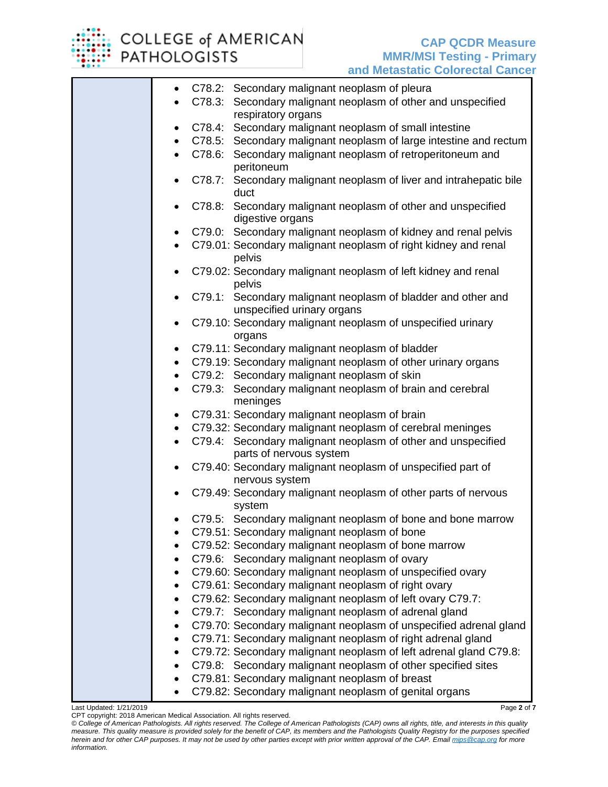

## COLLEGE of AMERICAN **PATHOLOGISTS**

|           | <u>ana motaotativ voivivotai vanvt</u>                                                     |
|-----------|--------------------------------------------------------------------------------------------|
| $\bullet$ | C78.2: Secondary malignant neoplasm of pleura                                              |
|           | C78.3: Secondary malignant neoplasm of other and unspecified                               |
|           | respiratory organs                                                                         |
| $\bullet$ | C78.4: Secondary malignant neoplasm of small intestine                                     |
|           | C78.5: Secondary malignant neoplasm of large intestine and rectum                          |
|           | C78.6: Secondary malignant neoplasm of retroperitoneum and<br>peritoneum                   |
|           | C78.7: Secondary malignant neoplasm of liver and intrahepatic bile                         |
|           | duct                                                                                       |
|           | C78.8: Secondary malignant neoplasm of other and unspecified<br>digestive organs           |
| $\bullet$ | C79.0: Secondary malignant neoplasm of kidney and renal pelvis                             |
| $\bullet$ | C79.01: Secondary malignant neoplasm of right kidney and renal<br>pelvis                   |
|           | C79.02: Secondary malignant neoplasm of left kidney and renal                              |
|           | pelvis                                                                                     |
|           | C79.1: Secondary malignant neoplasm of bladder and other and<br>unspecified urinary organs |
| $\bullet$ | C79.10: Secondary malignant neoplasm of unspecified urinary<br>organs                      |
| $\bullet$ | C79.11: Secondary malignant neoplasm of bladder                                            |
| $\bullet$ | C79.19: Secondary malignant neoplasm of other urinary organs                               |
| $\bullet$ | C79.2: Secondary malignant neoplasm of skin                                                |
| $\bullet$ | C79.3: Secondary malignant neoplasm of brain and cerebral<br>meninges                      |
|           | C79.31: Secondary malignant neoplasm of brain                                              |
|           | C79.32: Secondary malignant neoplasm of cerebral meninges                                  |
| $\bullet$ | C79.4: Secondary malignant neoplasm of other and unspecified                               |
|           | parts of nervous system                                                                    |
| $\bullet$ | C79.40: Secondary malignant neoplasm of unspecified part of<br>nervous system              |
|           | C79.49: Secondary malignant neoplasm of other parts of nervous<br>system                   |
|           | C79.5: Secondary malignant neoplasm of bone and bone marrow                                |
|           | C79.51: Secondary malignant neoplasm of bone                                               |
|           | C79.52: Secondary malignant neoplasm of bone marrow                                        |
|           | C79.6: Secondary malignant neoplasm of ovary                                               |
| $\bullet$ | C79.60: Secondary malignant neoplasm of unspecified ovary                                  |
| $\bullet$ | C79.61: Secondary malignant neoplasm of right ovary                                        |
| $\bullet$ | C79.62: Secondary malignant neoplasm of left ovary C79.7:                                  |
|           | C79.7: Secondary malignant neoplasm of adrenal gland                                       |
| $\bullet$ | C79.70: Secondary malignant neoplasm of unspecified adrenal gland                          |
| $\bullet$ | C79.71: Secondary malignant neoplasm of right adrenal gland                                |
| $\bullet$ | C79.72: Secondary malignant neoplasm of left adrenal gland C79.8:                          |
|           | C79.8: Secondary malignant neoplasm of other specified sites                               |
|           | C79.81: Secondary malignant neoplasm of breast                                             |
|           | C79.82: Secondary malignant neoplasm of genital organs                                     |

Last Updated: 1/21/2019 Page **2** of **7**

CPT copyright: 2018 American Medical Association. All rights reserved.

*© College of American Pathologists. All rights reserved. The College of American Pathologists (CAP) owns all rights, title, and interests in this quality measure. This quality measure is provided solely for the benefit of CAP, its members and the Pathologists Quality Registry for the purposes specified herein and for other CAP purposes. It may not be used by other parties except with prior written approval of the CAP. Emai[l mips@cap.org](mailto:mips@cap.org) for more information.*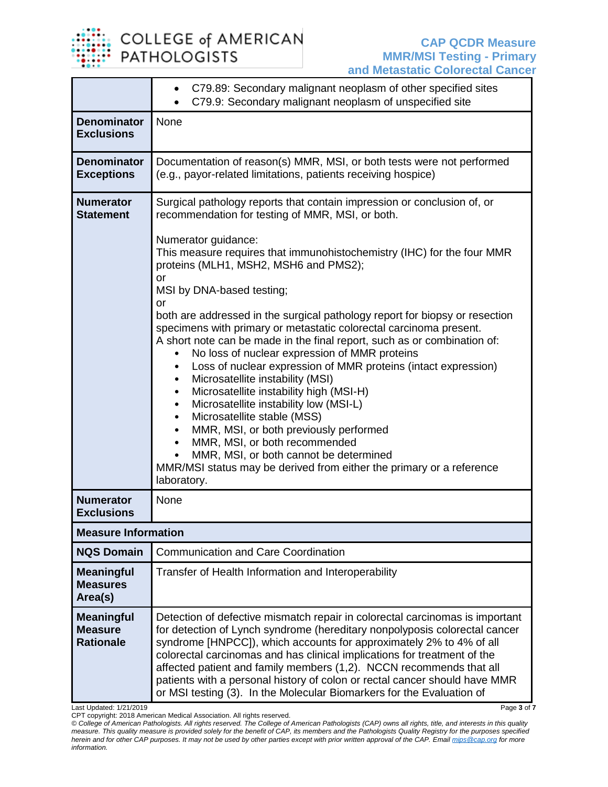

|                                                         | C79.89: Secondary malignant neoplasm of other specified sites<br>$\bullet$<br>C79.9: Secondary malignant neoplasm of unspecified site                                                                                                                                                                                                                                                                                                                                                                                                                                                                                                                                                                                                                                                                                                                                                                                                                                       |  |  |  |  |
|---------------------------------------------------------|-----------------------------------------------------------------------------------------------------------------------------------------------------------------------------------------------------------------------------------------------------------------------------------------------------------------------------------------------------------------------------------------------------------------------------------------------------------------------------------------------------------------------------------------------------------------------------------------------------------------------------------------------------------------------------------------------------------------------------------------------------------------------------------------------------------------------------------------------------------------------------------------------------------------------------------------------------------------------------|--|--|--|--|
| <b>Denominator</b><br><b>Exclusions</b>                 | None                                                                                                                                                                                                                                                                                                                                                                                                                                                                                                                                                                                                                                                                                                                                                                                                                                                                                                                                                                        |  |  |  |  |
| <b>Denominator</b><br><b>Exceptions</b>                 | Documentation of reason(s) MMR, MSI, or both tests were not performed<br>(e.g., payor-related limitations, patients receiving hospice)                                                                                                                                                                                                                                                                                                                                                                                                                                                                                                                                                                                                                                                                                                                                                                                                                                      |  |  |  |  |
| <b>Numerator</b><br><b>Statement</b>                    | Surgical pathology reports that contain impression or conclusion of, or<br>recommendation for testing of MMR, MSI, or both.                                                                                                                                                                                                                                                                                                                                                                                                                                                                                                                                                                                                                                                                                                                                                                                                                                                 |  |  |  |  |
|                                                         | Numerator guidance:<br>This measure requires that immunohistochemistry (IHC) for the four MMR<br>proteins (MLH1, MSH2, MSH6 and PMS2);<br>or<br>MSI by DNA-based testing;<br>or<br>both are addressed in the surgical pathology report for biopsy or resection<br>specimens with primary or metastatic colorectal carcinoma present.<br>A short note can be made in the final report, such as or combination of:<br>No loss of nuclear expression of MMR proteins<br>Loss of nuclear expression of MMR proteins (intact expression)<br>$\bullet$<br>Microsatellite instability (MSI)<br>$\bullet$<br>Microsatellite instability high (MSI-H)<br>$\bullet$<br>Microsatellite instability low (MSI-L)<br>$\bullet$<br>Microsatellite stable (MSS)<br>٠<br>MMR, MSI, or both previously performed<br>$\bullet$<br>MMR, MSI, or both recommended<br>$\bullet$<br>MMR, MSI, or both cannot be determined<br>MMR/MSI status may be derived from either the primary or a reference |  |  |  |  |
| <b>Numerator</b>                                        | laboratory.<br>None                                                                                                                                                                                                                                                                                                                                                                                                                                                                                                                                                                                                                                                                                                                                                                                                                                                                                                                                                         |  |  |  |  |
| <b>Exclusions</b>                                       |                                                                                                                                                                                                                                                                                                                                                                                                                                                                                                                                                                                                                                                                                                                                                                                                                                                                                                                                                                             |  |  |  |  |
| <b>Measure Information</b>                              |                                                                                                                                                                                                                                                                                                                                                                                                                                                                                                                                                                                                                                                                                                                                                                                                                                                                                                                                                                             |  |  |  |  |
| <b>NQS Domain</b>                                       | <b>Communication and Care Coordination</b>                                                                                                                                                                                                                                                                                                                                                                                                                                                                                                                                                                                                                                                                                                                                                                                                                                                                                                                                  |  |  |  |  |
| <b>Meaningful</b><br><b>Measures</b><br>Area(s)         | Transfer of Health Information and Interoperability                                                                                                                                                                                                                                                                                                                                                                                                                                                                                                                                                                                                                                                                                                                                                                                                                                                                                                                         |  |  |  |  |
| <b>Meaningful</b><br><b>Measure</b><br><b>Rationale</b> | Detection of defective mismatch repair in colorectal carcinomas is important<br>for detection of Lynch syndrome (hereditary nonpolyposis colorectal cancer<br>syndrome [HNPCC]), which accounts for approximately 2% to 4% of all<br>colorectal carcinomas and has clinical implications for treatment of the<br>affected patient and family members (1,2). NCCN recommends that all<br>patients with a personal history of colon or rectal cancer should have MMR<br>or MSI testing (3). In the Molecular Biomarkers for the Evaluation of                                                                                                                                                                                                                                                                                                                                                                                                                                 |  |  |  |  |

Last Updated: 1/21/2019 Page **3** of **7**

CPT copyright: 2018 American Medical Association. All rights reserved. *© College of American Pathologists. All rights reserved. The College of American Pathologists (CAP) owns all rights, title, and interests in this quality measure. This quality measure is provided solely for the benefit of CAP, its members and the Pathologists Quality Registry for the purposes specified herein and for other CAP purposes. It may not be used by other parties except with prior written approval of the CAP. Emai[l mips@cap.org](mailto:mips@cap.org) for more information.*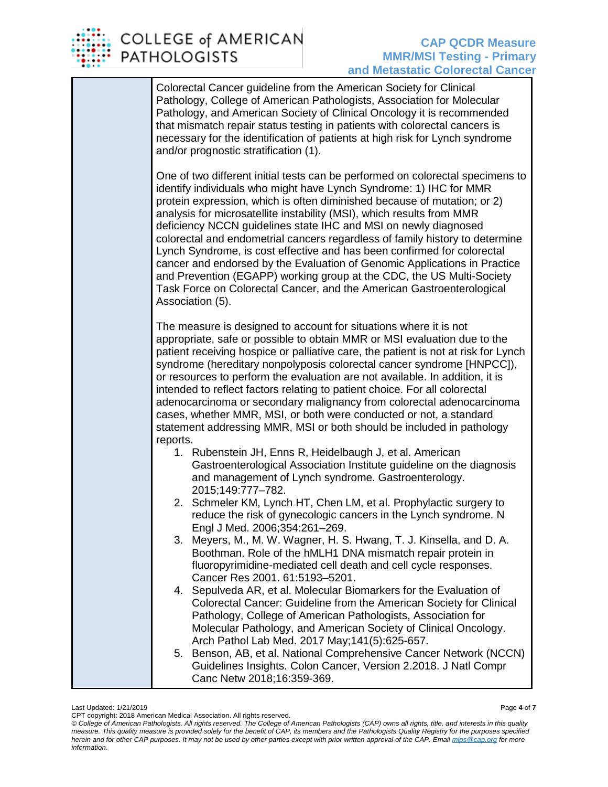

Colorectal Cancer guideline from the American Society for Clinical Pathology, College of American Pathologists, Association for Molecular Pathology, and American Society of Clinical Oncology it is recommended that mismatch repair status testing in patients with colorectal cancers is necessary for the identification of patients at high risk for Lynch syndrome and/or prognostic stratification (1).

One of two different initial tests can be performed on colorectal specimens to identify individuals who might have Lynch Syndrome: 1) IHC for MMR protein expression, which is often diminished because of mutation; or 2) analysis for microsatellite instability (MSI), which results from MMR deficiency NCCN guidelines state IHC and MSI on newly diagnosed colorectal and endometrial cancers regardless of family history to determine Lynch Syndrome, is cost effective and has been confirmed for colorectal cancer and endorsed by the Evaluation of Genomic Applications in Practice and Prevention (EGAPP) working group at the CDC, the US Multi-Society Task Force on Colorectal Cancer, and the American Gastroenterological Association (5).

The measure is designed to account for situations where it is not appropriate, safe or possible to obtain MMR or MSI evaluation due to the patient receiving hospice or palliative care, the patient is not at risk for Lynch syndrome (hereditary nonpolyposis colorectal cancer syndrome [HNPCC]), or resources to perform the evaluation are not available. In addition, it is intended to reflect factors relating to patient choice. For all colorectal adenocarcinoma or secondary malignancy from colorectal adenocarcinoma cases, whether MMR, MSI, or both were conducted or not, a standard statement addressing MMR, MSI or both should be included in pathology reports.

- 1. Rubenstein JH, Enns R, Heidelbaugh J, et al. American Gastroenterological Association Institute guideline on the diagnosis and management of Lynch syndrome. Gastroenterology. 2015;149:777–782.
- 2. Schmeler KM, Lynch HT, Chen LM, et al. Prophylactic surgery to reduce the risk of gynecologic cancers in the Lynch syndrome. N Engl J Med. 2006;354:261–269.
- 3. Meyers, M., M. W. Wagner, H. S. Hwang, T. J. Kinsella, and D. A. Boothman. Role of the hMLH1 DNA mismatch repair protein in fluoropyrimidine-mediated cell death and cell cycle responses. Cancer Res 2001. 61:5193–5201.
- 4. Sepulveda AR, et al. Molecular Biomarkers for the Evaluation of Colorectal Cancer: Guideline from the American Society for Clinical Pathology, College of American Pathologists, Association for Molecular Pathology, and American Society of Clinical Oncology. Arch Pathol Lab Med. 2017 May;141(5):625-657.
- 5. Benson, AB, et al. National Comprehensive Cancer Network (NCCN) Guidelines Insights. Colon Cancer, Version 2.2018. J Natl Compr Canc Netw 2018;16:359-369.

Last Updated: 1/21/2019 Page **4** of **7**

CPT copyright: 2018 American Medical Association. All rights reserved.

*<sup>©</sup> College of American Pathologists. All rights reserved. The College of American Pathologists (CAP) owns all rights, title, and interests in this quality measure. This quality measure is provided solely for the benefit of CAP, its members and the Pathologists Quality Registry for the purposes specified herein and for other CAP purposes. It may not be used by other parties except with prior written approval of the CAP. Emai[l mips@cap.org](mailto:mips@cap.org) for more information.*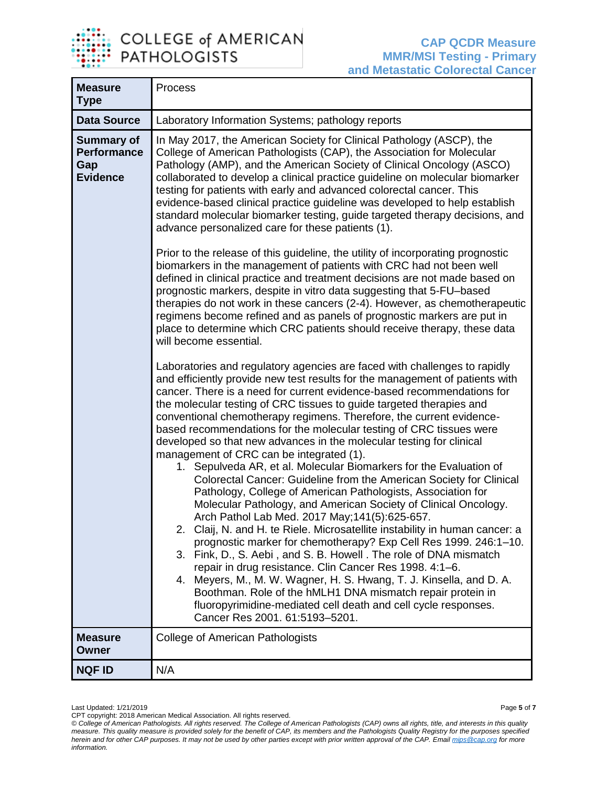

| <b>Measure</b><br><b>Type</b>                                     | Process                                                                                                                                                                                                                                                                                                                                                                                                                                                                                                                                                                                                                                                                                                                                                                                                                                                                                                                                                                                                                                                                                                                                                                                                                                                                                                                                                                                                                                     |
|-------------------------------------------------------------------|---------------------------------------------------------------------------------------------------------------------------------------------------------------------------------------------------------------------------------------------------------------------------------------------------------------------------------------------------------------------------------------------------------------------------------------------------------------------------------------------------------------------------------------------------------------------------------------------------------------------------------------------------------------------------------------------------------------------------------------------------------------------------------------------------------------------------------------------------------------------------------------------------------------------------------------------------------------------------------------------------------------------------------------------------------------------------------------------------------------------------------------------------------------------------------------------------------------------------------------------------------------------------------------------------------------------------------------------------------------------------------------------------------------------------------------------|
| <b>Data Source</b>                                                | Laboratory Information Systems; pathology reports                                                                                                                                                                                                                                                                                                                                                                                                                                                                                                                                                                                                                                                                                                                                                                                                                                                                                                                                                                                                                                                                                                                                                                                                                                                                                                                                                                                           |
| <b>Summary of</b><br><b>Performance</b><br>Gap<br><b>Evidence</b> | In May 2017, the American Society for Clinical Pathology (ASCP), the<br>College of American Pathologists (CAP), the Association for Molecular<br>Pathology (AMP), and the American Society of Clinical Oncology (ASCO)<br>collaborated to develop a clinical practice guideline on molecular biomarker<br>testing for patients with early and advanced colorectal cancer. This<br>evidence-based clinical practice guideline was developed to help establish<br>standard molecular biomarker testing, guide targeted therapy decisions, and<br>advance personalized care for these patients (1).                                                                                                                                                                                                                                                                                                                                                                                                                                                                                                                                                                                                                                                                                                                                                                                                                                            |
|                                                                   | Prior to the release of this guideline, the utility of incorporating prognostic<br>biomarkers in the management of patients with CRC had not been well<br>defined in clinical practice and treatment decisions are not made based on<br>prognostic markers, despite in vitro data suggesting that 5-FU-based<br>therapies do not work in these cancers (2-4). However, as chemotherapeutic<br>regimens become refined and as panels of prognostic markers are put in<br>place to determine which CRC patients should receive therapy, these data<br>will become essential.                                                                                                                                                                                                                                                                                                                                                                                                                                                                                                                                                                                                                                                                                                                                                                                                                                                                  |
|                                                                   | Laboratories and regulatory agencies are faced with challenges to rapidly<br>and efficiently provide new test results for the management of patients with<br>cancer. There is a need for current evidence-based recommendations for<br>the molecular testing of CRC tissues to guide targeted therapies and<br>conventional chemotherapy regimens. Therefore, the current evidence-<br>based recommendations for the molecular testing of CRC tissues were<br>developed so that new advances in the molecular testing for clinical<br>management of CRC can be integrated (1).<br>1. Sepulveda AR, et al. Molecular Biomarkers for the Evaluation of<br>Colorectal Cancer: Guideline from the American Society for Clinical<br>Pathology, College of American Pathologists, Association for<br>Molecular Pathology, and American Society of Clinical Oncology.<br>Arch Pathol Lab Med. 2017 May; 141(5):625-657.<br>2. Claij, N. and H. te Riele. Microsatellite instability in human cancer: a<br>prognostic marker for chemotherapy? Exp Cell Res 1999. 246:1-10.<br>3. Fink, D., S. Aebi, and S. B. Howell. The role of DNA mismatch<br>repair in drug resistance. Clin Cancer Res 1998. 4:1-6.<br>4. Meyers, M., M. W. Wagner, H. S. Hwang, T. J. Kinsella, and D. A.<br>Boothman. Role of the hMLH1 DNA mismatch repair protein in<br>fluoropyrimidine-mediated cell death and cell cycle responses.<br>Cancer Res 2001. 61:5193-5201. |
| <b>Measure</b><br><b>Owner</b>                                    | <b>College of American Pathologists</b>                                                                                                                                                                                                                                                                                                                                                                                                                                                                                                                                                                                                                                                                                                                                                                                                                                                                                                                                                                                                                                                                                                                                                                                                                                                                                                                                                                                                     |
| <b>NQF ID</b>                                                     | N/A                                                                                                                                                                                                                                                                                                                                                                                                                                                                                                                                                                                                                                                                                                                                                                                                                                                                                                                                                                                                                                                                                                                                                                                                                                                                                                                                                                                                                                         |

Last Updated: 1/21/2019 Page **5** of **7**

CPT copyright: 2018 American Medical Association. All rights reserved.

*<sup>©</sup> College of American Pathologists. All rights reserved. The College of American Pathologists (CAP) owns all rights, title, and interests in this quality measure. This quality measure is provided solely for the benefit of CAP, its members and the Pathologists Quality Registry for the purposes specified herein and for other CAP purposes. It may not be used by other parties except with prior written approval of the CAP. Emai[l mips@cap.org](mailto:mips@cap.org) for more information.*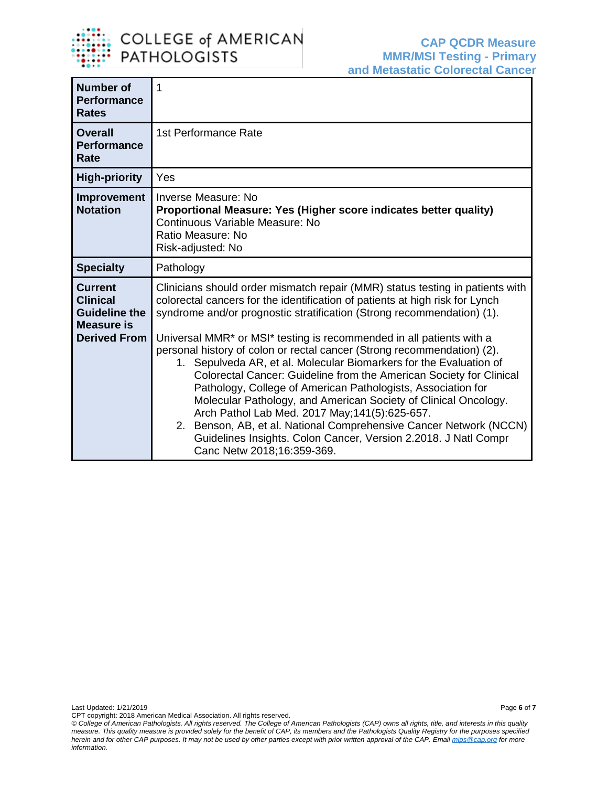

| <b>Number of</b><br><b>Performance</b><br><b>Rates</b>                                                | 1                                                                                                                                                                                                                                                                                                                                                                                                                                                                                                                                                                                                                                                                                                                                                                                                                                                                                                    |  |  |  |
|-------------------------------------------------------------------------------------------------------|------------------------------------------------------------------------------------------------------------------------------------------------------------------------------------------------------------------------------------------------------------------------------------------------------------------------------------------------------------------------------------------------------------------------------------------------------------------------------------------------------------------------------------------------------------------------------------------------------------------------------------------------------------------------------------------------------------------------------------------------------------------------------------------------------------------------------------------------------------------------------------------------------|--|--|--|
| <b>Overall</b><br><b>Performance</b><br>Rate                                                          | 1st Performance Rate                                                                                                                                                                                                                                                                                                                                                                                                                                                                                                                                                                                                                                                                                                                                                                                                                                                                                 |  |  |  |
| <b>High-priority</b>                                                                                  | Yes                                                                                                                                                                                                                                                                                                                                                                                                                                                                                                                                                                                                                                                                                                                                                                                                                                                                                                  |  |  |  |
| Improvement<br><b>Notation</b>                                                                        | Inverse Measure: No<br>Proportional Measure: Yes (Higher score indicates better quality)<br>Continuous Variable Measure: No<br>Ratio Measure: No<br>Risk-adjusted: No                                                                                                                                                                                                                                                                                                                                                                                                                                                                                                                                                                                                                                                                                                                                |  |  |  |
| <b>Specialty</b>                                                                                      | Pathology                                                                                                                                                                                                                                                                                                                                                                                                                                                                                                                                                                                                                                                                                                                                                                                                                                                                                            |  |  |  |
| <b>Current</b><br><b>Clinical</b><br><b>Guideline the</b><br><b>Measure is</b><br><b>Derived From</b> | Clinicians should order mismatch repair (MMR) status testing in patients with<br>colorectal cancers for the identification of patients at high risk for Lynch<br>syndrome and/or prognostic stratification (Strong recommendation) (1).<br>Universal MMR* or MSI* testing is recommended in all patients with a<br>personal history of colon or rectal cancer (Strong recommendation) (2).<br>1. Sepulveda AR, et al. Molecular Biomarkers for the Evaluation of<br>Colorectal Cancer: Guideline from the American Society for Clinical<br>Pathology, College of American Pathologists, Association for<br>Molecular Pathology, and American Society of Clinical Oncology.<br>Arch Pathol Lab Med. 2017 May; 141(5): 625-657.<br>2. Benson, AB, et al. National Comprehensive Cancer Network (NCCN)<br>Guidelines Insights. Colon Cancer, Version 2.2018. J Natl Compr<br>Canc Netw 2018;16:359-369. |  |  |  |

CPT copyright: 2018 American Medical Association. All rights reserved. *© College of American Pathologists. All rights reserved. The College of American Pathologists (CAP) owns all rights, title, and interests in this quality measure. This quality measure is provided solely for the benefit of CAP, its members and the Pathologists Quality Registry for the purposes specified herein and for other CAP purposes. It may not be used by other parties except with prior written approval of the CAP. Emai[l mips@cap.org](mailto:mips@cap.org) for more information.*